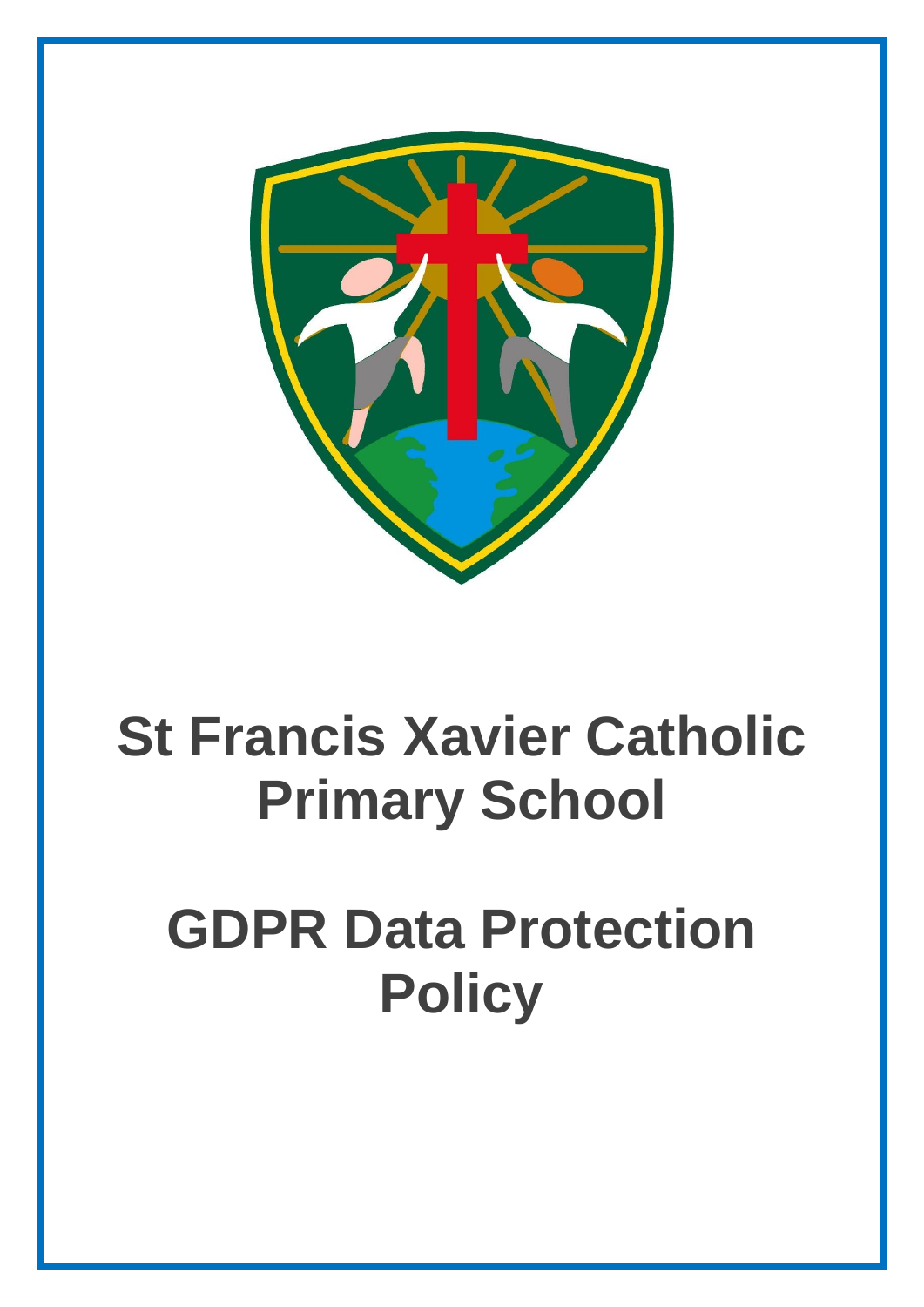

# **St Francis Xavier Catholic Primary School**

# **GDPR Data Protection Policy**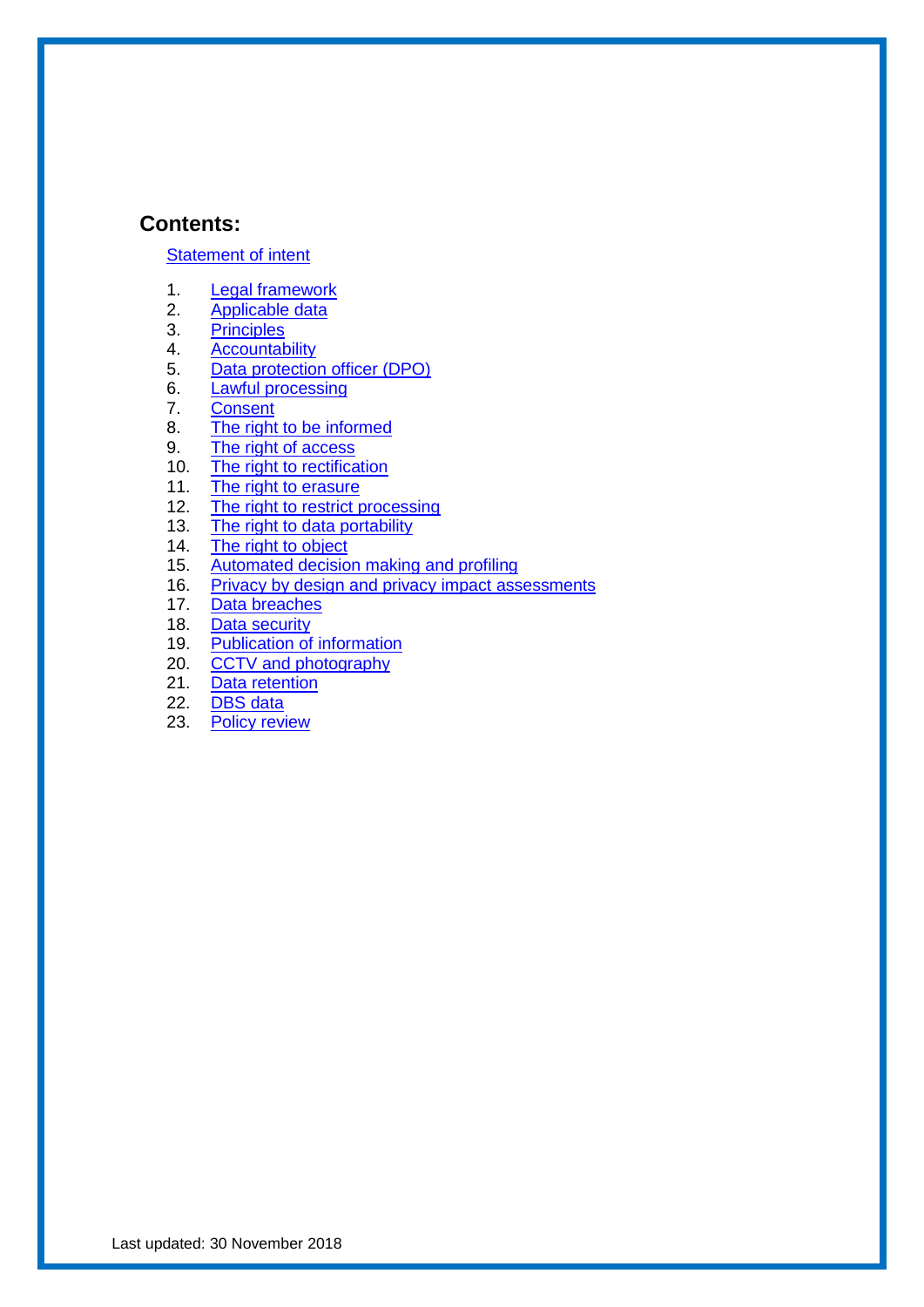#### **Contents:**

#### [Statement of intent](#page-2-0)

- 1. [Legal framework](#page-3-0)
- 2. [Applicable data](#page-3-1)
- 3. [Principles](#page-4-0)
- 4. [Accountability](#page-4-1)<br>5. Data protection
- [Data protection officer \(DPO\)](#page-5-0)
- 6. [Lawful processing](#page-6-0)
- 7. [Consent](#page-7-0)
- 8. [The right to be informed](#page-8-0)
- 9. [The right of access](#page-9-0)
- 10. [The right to rectification](#page-9-1)<br>11. The right to erasure
- [The right to erasure](#page-10-0)
- 12. [The right to restrict processing](#page-11-0)
- 13. [The right to data portability](#page-11-1)
- 14. [The right to object](#page-12-0)
- 15. [Automated decision making and profiling](#page-13-0)
- 16. [Privacy by design and privacy impact assessments](#page-14-0)
- 17. [Data breaches](#page-14-1)
- 18. [Data security](#page-15-0)<br>19. Publication of
- [Publication of information](#page-17-0)
- 20. [CCTV and photography](#page-17-1)
- 21. [Data retention](#page-18-0)
- 22. [DBS data](#page-18-1)
- 23. Policy review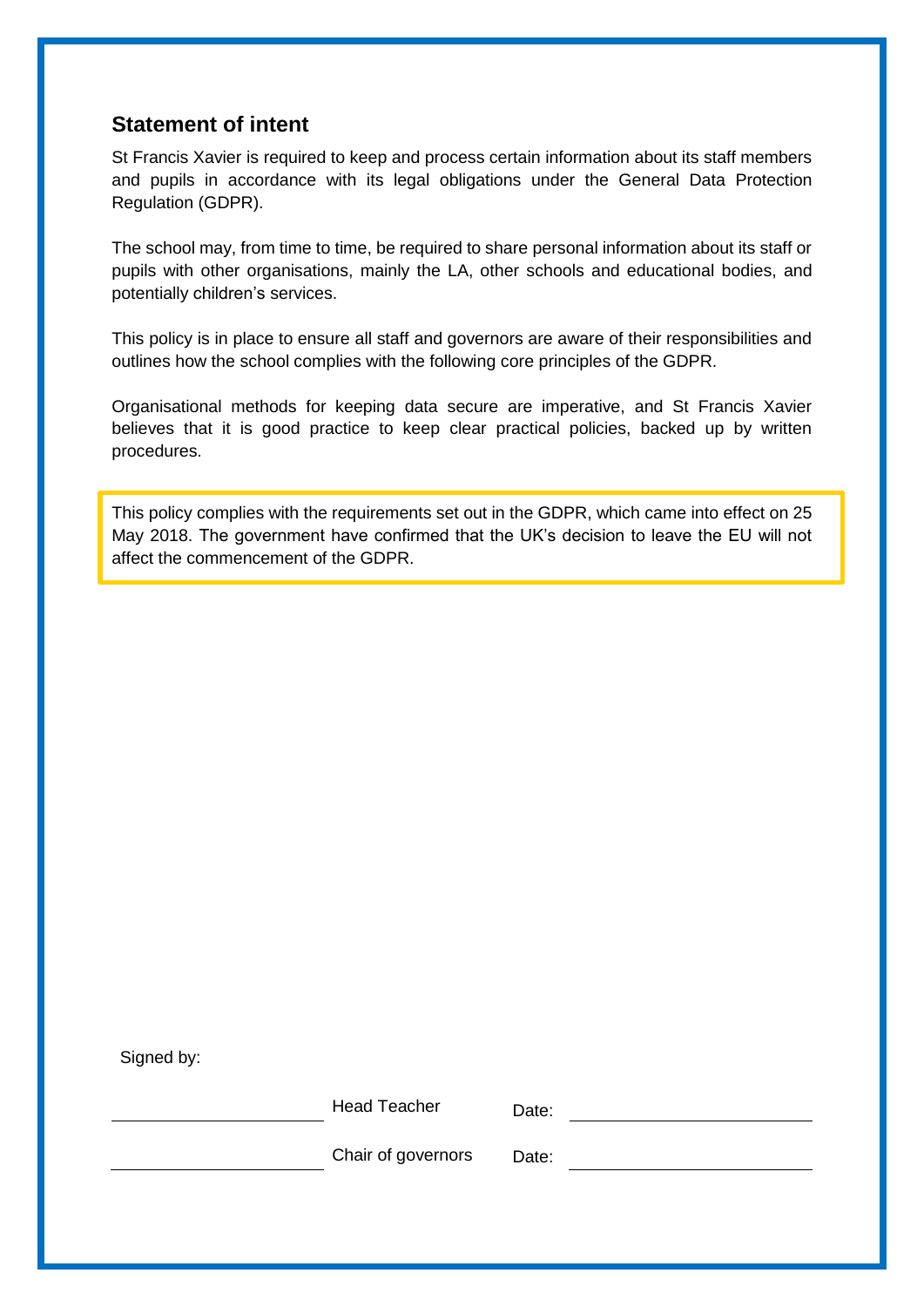## <span id="page-2-0"></span>**Statement of intent**

St Francis Xavier is required to keep and process certain information about its staff members and pupils in accordance with its legal obligations under the General Data Protection Regulation (GDPR).

The school may, from time to time, be required to share personal information about its staff or pupils with other organisations, mainly the LA, other schools and educational bodies, and potentially children's services.

This policy is in place to ensure all staff and governors are aware of their responsibilities and outlines how the school complies with the following core principles of the GDPR.

Organisational methods for keeping data secure are imperative, and St Francis Xavier believes that it is good practice to keep clear practical policies, backed up by written procedures.

This policy complies with the requirements set out in the GDPR, which came into effect on 25 May 2018. The government have confirmed that the UK's decision to leave the EU will not affect the commencement of the GDPR.

Signed by:

Head Teacher Date:

Chair of governors Date: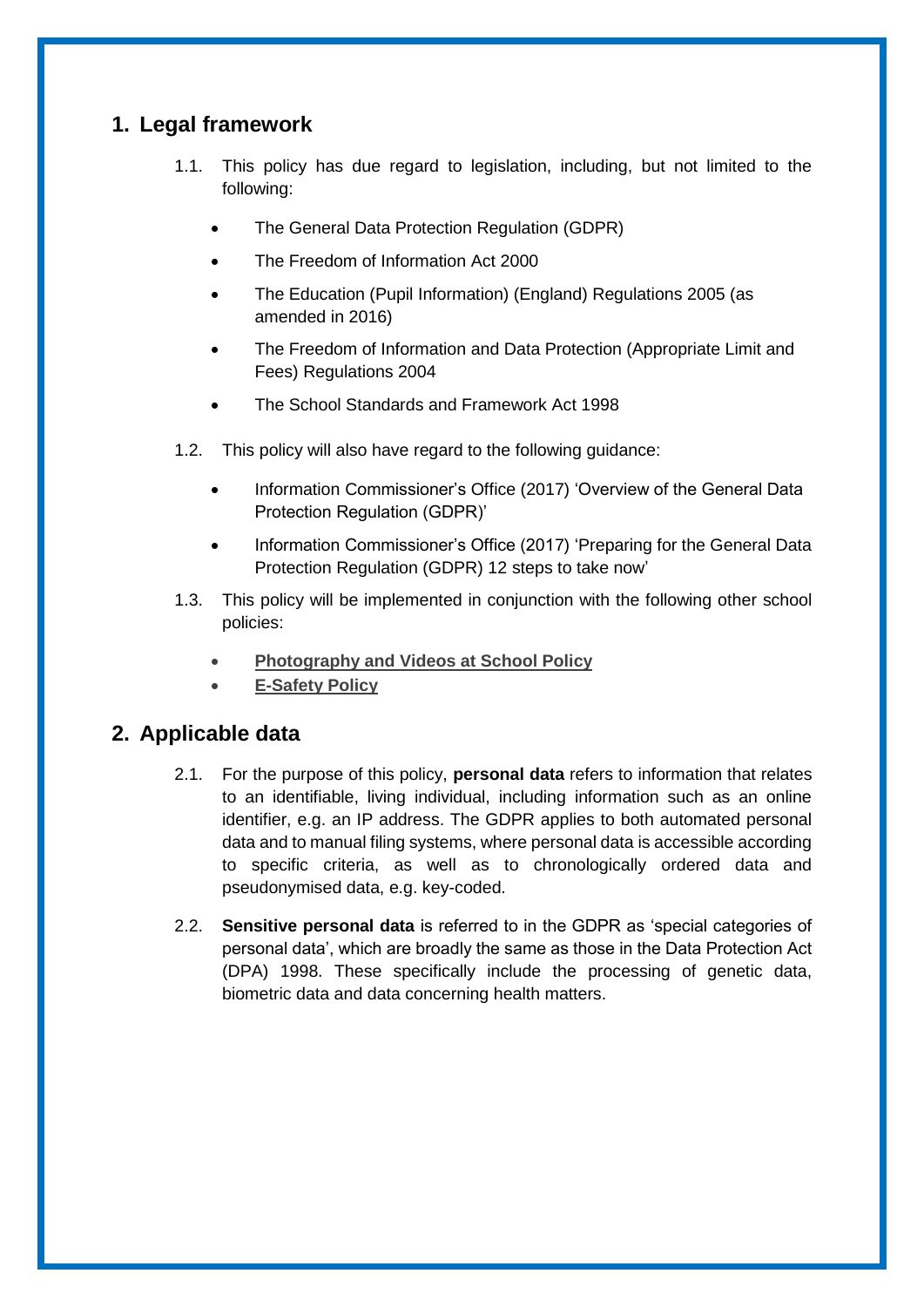# <span id="page-3-0"></span>**1. Legal framework**

- 1.1. This policy has due regard to legislation, including, but not limited to the following:
	- The General Data Protection Regulation (GDPR)
	- The Freedom of Information Act 2000
	- The Education (Pupil Information) (England) Regulations 2005 (as amended in 2016)
	- The Freedom of Information and Data Protection (Appropriate Limit and Fees) Regulations 2004
	- The School Standards and Framework Act 1998
- 1.2. This policy will also have regard to the following guidance:
	- Information Commissioner's Office (2017) 'Overview of the General Data Protection Regulation (GDPR)'
	- Information Commissioner's Office (2017) 'Preparing for the General Data Protection Regulation (GDPR) 12 steps to take now'
- 1.3. This policy will be implemented in conjunction with the following other school policies:
	- **Photography and Videos at School Policy**
	- **E-Safety Policy**

## <span id="page-3-1"></span>**2. Applicable data**

- 2.1. For the purpose of this policy, **personal data** refers to information that relates to an identifiable, living individual, including information such as an online identifier, e.g. an IP address. The GDPR applies to both automated personal data and to manual filing systems, where personal data is accessible according to specific criteria, as well as to chronologically ordered data and pseudonymised data, e.g. key-coded.
- 2.2. **Sensitive personal data** is referred to in the GDPR as 'special categories of personal data', which are broadly the same as those in the Data Protection Act (DPA) 1998. These specifically include the processing of genetic data, biometric data and data concerning health matters.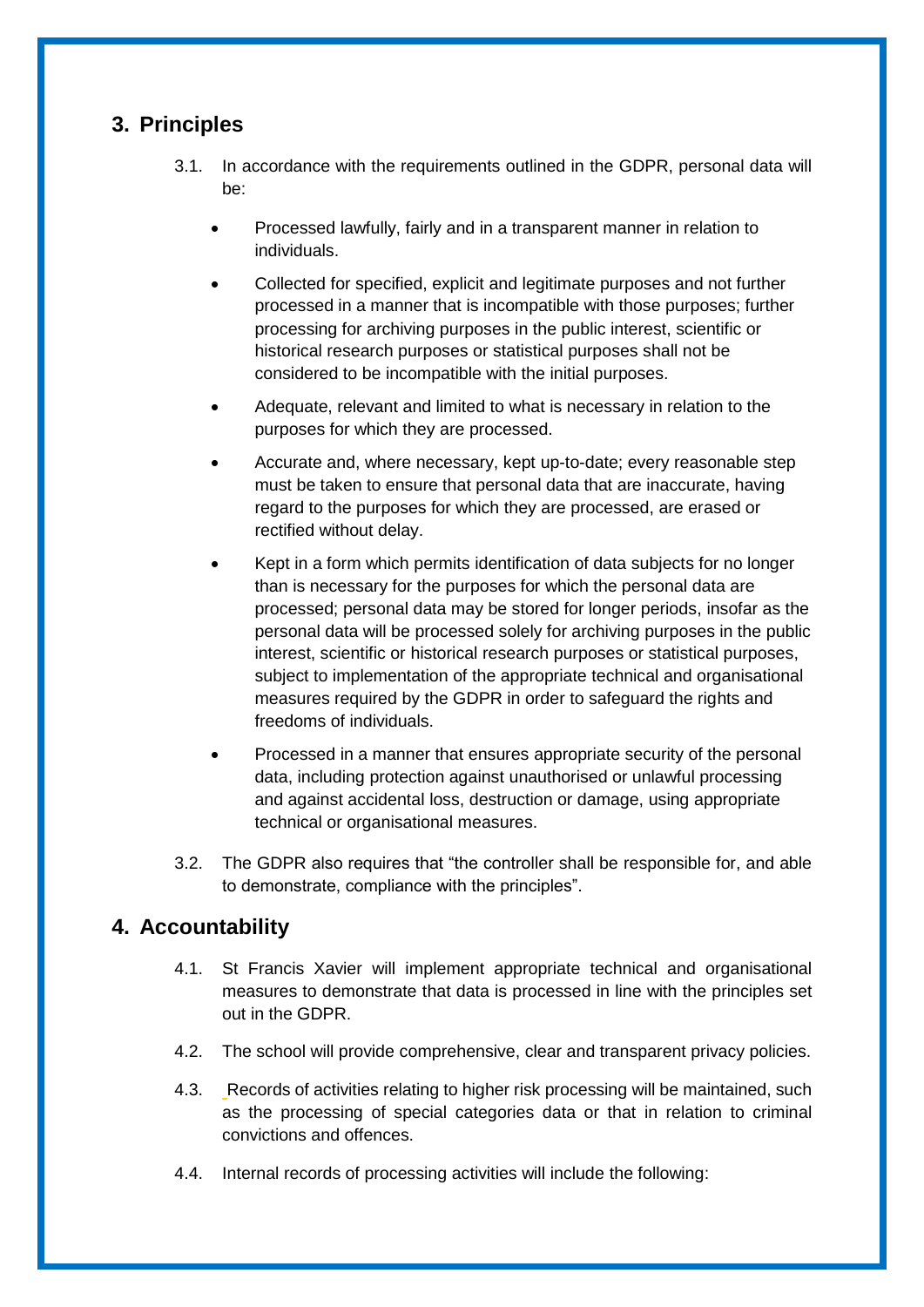# <span id="page-4-0"></span>**3. Principles**

- 3.1. In accordance with the requirements outlined in the GDPR, personal data will be:
	- Processed lawfully, fairly and in a transparent manner in relation to individuals.
	- Collected for specified, explicit and legitimate purposes and not further processed in a manner that is incompatible with those purposes; further processing for archiving purposes in the public interest, scientific or historical research purposes or statistical purposes shall not be considered to be incompatible with the initial purposes.
	- Adequate, relevant and limited to what is necessary in relation to the purposes for which they are processed.
	- Accurate and, where necessary, kept up-to-date; every reasonable step must be taken to ensure that personal data that are inaccurate, having regard to the purposes for which they are processed, are erased or rectified without delay.
	- Kept in a form which permits identification of data subjects for no longer than is necessary for the purposes for which the personal data are processed; personal data may be stored for longer periods, insofar as the personal data will be processed solely for archiving purposes in the public interest, scientific or historical research purposes or statistical purposes, subject to implementation of the appropriate technical and organisational measures required by the GDPR in order to safeguard the rights and freedoms of individuals.
	- Processed in a manner that ensures appropriate security of the personal data, including protection against unauthorised or unlawful processing and against accidental loss, destruction or damage, using appropriate technical or organisational measures.
- 3.2. The GDPR also requires that "the controller shall be responsible for, and able to demonstrate, compliance with the principles".

# <span id="page-4-1"></span>**4. Accountability**

- 4.1. St Francis Xavier will implement appropriate technical and organisational measures to demonstrate that data is processed in line with the principles set out in the GDPR.
- 4.2. The school will provide comprehensive, clear and transparent privacy policies.
- 4.3. Records of activities relating to higher risk processing will be maintained, such as the processing of special categories data or that in relation to criminal convictions and offences.
- 4.4. Internal records of processing activities will include the following: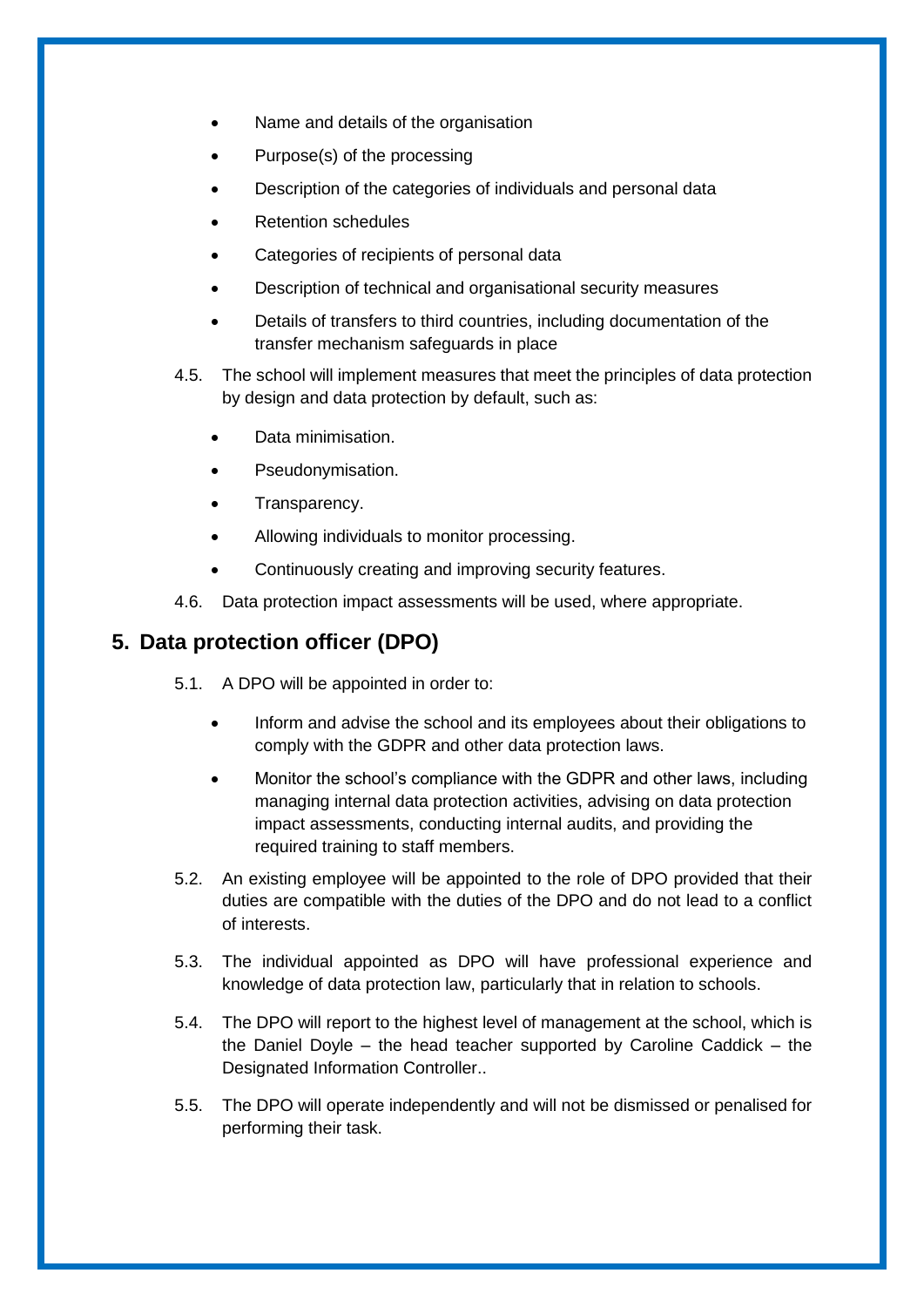- Name and details of the organisation
- Purpose(s) of the processing
- Description of the categories of individuals and personal data
- Retention schedules
- Categories of recipients of personal data
- Description of technical and organisational security measures
- Details of transfers to third countries, including documentation of the transfer mechanism safeguards in place
- 4.5. The school will implement measures that meet the principles of data protection by design and data protection by default, such as:
	- Data minimisation.
	- Pseudonymisation.
	- Transparency.
	- Allowing individuals to monitor processing.
	- Continuously creating and improving security features.
- 4.6. Data protection impact assessments will be used, where appropriate.

## <span id="page-5-0"></span>**5. Data protection officer (DPO)**

- 5.1. A DPO will be appointed in order to:
	- Inform and advise the school and its employees about their obligations to comply with the GDPR and other data protection laws.
	- Monitor the school's compliance with the GDPR and other laws, including managing internal data protection activities, advising on data protection impact assessments, conducting internal audits, and providing the required training to staff members.
- 5.2. An existing employee will be appointed to the role of DPO provided that their duties are compatible with the duties of the DPO and do not lead to a conflict of interests.
- 5.3. The individual appointed as DPO will have professional experience and knowledge of data protection law, particularly that in relation to schools.
- 5.4. The DPO will report to the highest level of management at the school, which is the Daniel Doyle – the head teacher supported by Caroline Caddick – the Designated Information Controller..
- 5.5. The DPO will operate independently and will not be dismissed or penalised for performing their task.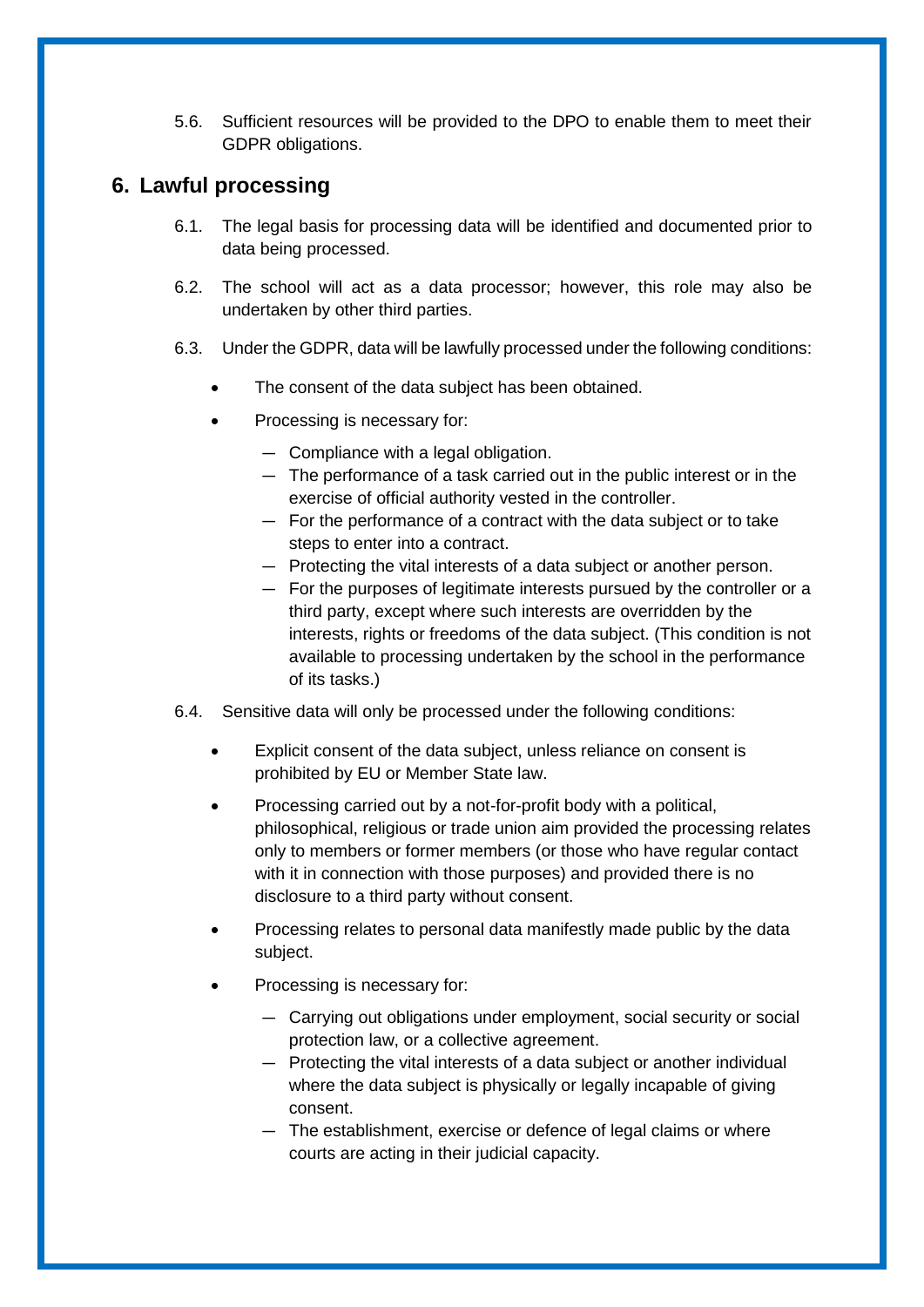5.6. Sufficient resources will be provided to the DPO to enable them to meet their GDPR obligations.

## <span id="page-6-0"></span>**6. Lawful processing**

- 6.1. The legal basis for processing data will be identified and documented prior to data being processed.
- 6.2. The school will act as a data processor; however, this role may also be undertaken by other third parties.
- 6.3. Under the GDPR, data will be lawfully processed under the following conditions:
	- The consent of the data subject has been obtained.
	- Processing is necessary for:
		- Compliance with a legal obligation.
		- The performance of a task carried out in the public interest or in the exercise of official authority vested in the controller.
		- For the performance of a contract with the data subject or to take steps to enter into a contract.
		- Protecting the vital interests of a data subject or another person.
		- For the purposes of legitimate interests pursued by the controller or a third party, except where such interests are overridden by the interests, rights or freedoms of the data subject. (This condition is not available to processing undertaken by the school in the performance of its tasks.)
- 6.4. Sensitive data will only be processed under the following conditions:
	- Explicit consent of the data subject, unless reliance on consent is prohibited by EU or Member State law.
	- Processing carried out by a not-for-profit body with a political, philosophical, religious or trade union aim provided the processing relates only to members or former members (or those who have regular contact with it in connection with those purposes) and provided there is no disclosure to a third party without consent.
	- Processing relates to personal data manifestly made public by the data subject.
	- Processing is necessary for:
		- Carrying out obligations under employment, social security or social protection law, or a collective agreement.
		- Protecting the vital interests of a data subject or another individual where the data subject is physically or legally incapable of giving consent.
		- The establishment, exercise or defence of legal claims or where courts are acting in their judicial capacity.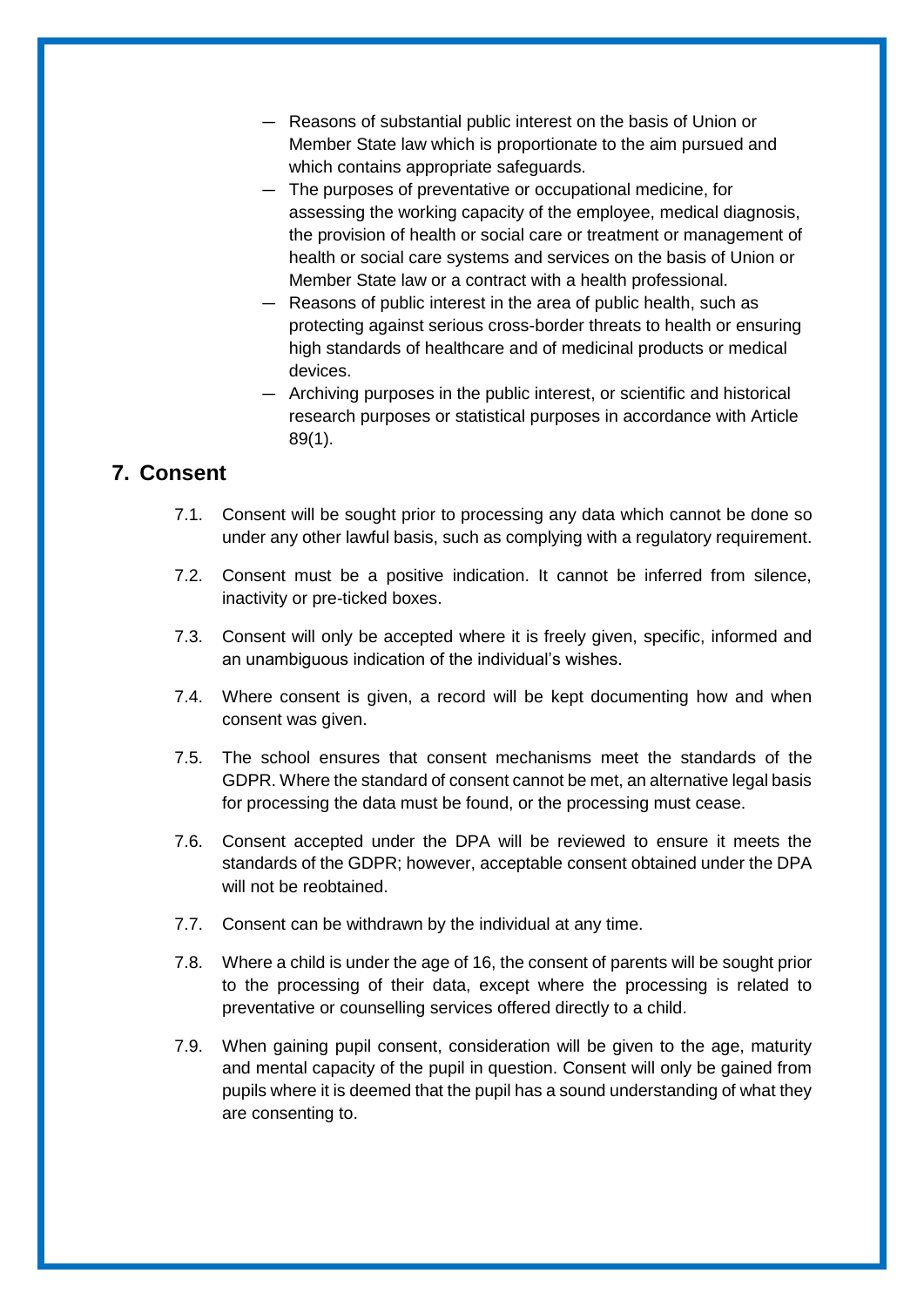- Reasons of substantial public interest on the basis of Union or Member State law which is proportionate to the aim pursued and which contains appropriate safeguards.
- The purposes of preventative or occupational medicine, for assessing the working capacity of the employee, medical diagnosis, the provision of health or social care or treatment or management of health or social care systems and services on the basis of Union or Member State law or a contract with a health professional.
- Reasons of public interest in the area of public health, such as protecting against serious cross-border threats to health or ensuring high standards of healthcare and of medicinal products or medical devices.
- Archiving purposes in the public interest, or scientific and historical research purposes or statistical purposes in accordance with Article 89(1).

# <span id="page-7-0"></span>**7. Consent**

- 7.1. Consent will be sought prior to processing any data which cannot be done so under any other lawful basis, such as complying with a regulatory requirement.
- 7.2. Consent must be a positive indication. It cannot be inferred from silence, inactivity or pre-ticked boxes.
- 7.3. Consent will only be accepted where it is freely given, specific, informed and an unambiguous indication of the individual's wishes.
- 7.4. Where consent is given, a record will be kept documenting how and when consent was given.
- 7.5. The school ensures that consent mechanisms meet the standards of the GDPR. Where the standard of consent cannot be met, an alternative legal basis for processing the data must be found, or the processing must cease.
- 7.6. Consent accepted under the DPA will be reviewed to ensure it meets the standards of the GDPR; however, acceptable consent obtained under the DPA will not be reobtained.
- 7.7. Consent can be withdrawn by the individual at any time.
- 7.8. Where a child is under the age of 16, the consent of parents will be sought prior to the processing of their data, except where the processing is related to preventative or counselling services offered directly to a child.
- 7.9. When gaining pupil consent, consideration will be given to the age, maturity and mental capacity of the pupil in question. Consent will only be gained from pupils where it is deemed that the pupil has a sound understanding of what they are consenting to.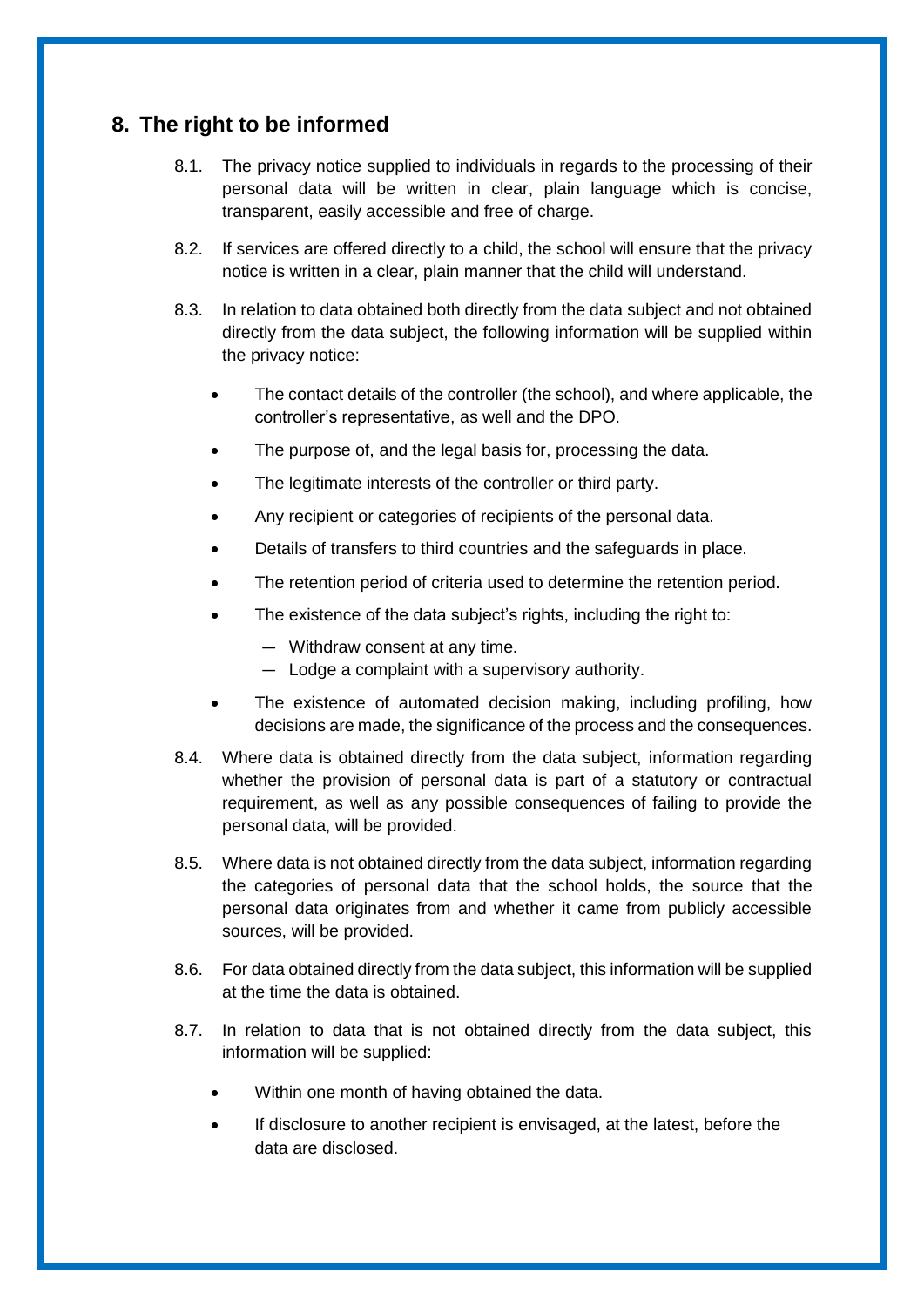# <span id="page-8-0"></span>**8. The right to be informed**

- 8.1. The privacy notice supplied to individuals in regards to the processing of their personal data will be written in clear, plain language which is concise, transparent, easily accessible and free of charge.
- 8.2. If services are offered directly to a child, the school will ensure that the privacy notice is written in a clear, plain manner that the child will understand.
- 8.3. In relation to data obtained both directly from the data subject and not obtained directly from the data subject, the following information will be supplied within the privacy notice:
	- The contact details of the controller (the school), and where applicable, the controller's representative, as well and the DPO.
	- The purpose of, and the legal basis for, processing the data.
	- The legitimate interests of the controller or third party.
	- Any recipient or categories of recipients of the personal data.
	- Details of transfers to third countries and the safeguards in place.
	- The retention period of criteria used to determine the retention period.
	- The existence of the data subject's rights, including the right to:
		- Withdraw consent at any time.
		- Lodge a complaint with a supervisory authority.
	- The existence of automated decision making, including profiling, how decisions are made, the significance of the process and the consequences.
- 8.4. Where data is obtained directly from the data subject, information regarding whether the provision of personal data is part of a statutory or contractual requirement, as well as any possible consequences of failing to provide the personal data, will be provided.
- 8.5. Where data is not obtained directly from the data subject, information regarding the categories of personal data that the school holds, the source that the personal data originates from and whether it came from publicly accessible sources, will be provided.
- 8.6. For data obtained directly from the data subject, this information will be supplied at the time the data is obtained.
- 8.7. In relation to data that is not obtained directly from the data subject, this information will be supplied:
	- Within one month of having obtained the data.
	- If disclosure to another recipient is envisaged, at the latest, before the data are disclosed.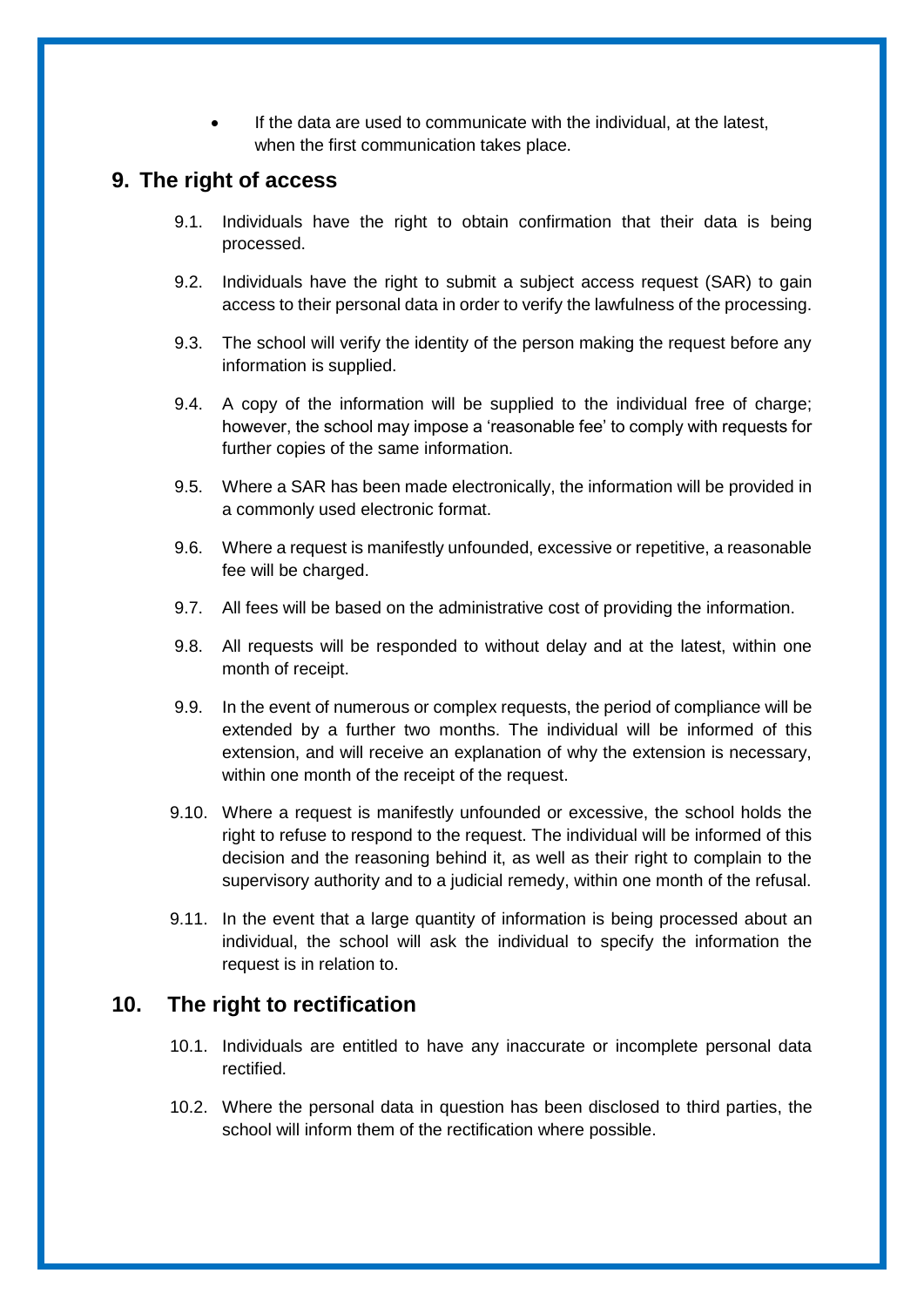If the data are used to communicate with the individual, at the latest, when the first communication takes place.

## <span id="page-9-0"></span>**9. The right of access**

- 9.1. Individuals have the right to obtain confirmation that their data is being processed.
- 9.2. Individuals have the right to submit a subject access request (SAR) to gain access to their personal data in order to verify the lawfulness of the processing.
- 9.3. The school will verify the identity of the person making the request before any information is supplied.
- 9.4. A copy of the information will be supplied to the individual free of charge; however, the school may impose a 'reasonable fee' to comply with requests for further copies of the same information.
- 9.5. Where a SAR has been made electronically, the information will be provided in a commonly used electronic format.
- 9.6. Where a request is manifestly unfounded, excessive or repetitive, a reasonable fee will be charged.
- 9.7. All fees will be based on the administrative cost of providing the information.
- 9.8. All requests will be responded to without delay and at the latest, within one month of receipt.
- 9.9. In the event of numerous or complex requests, the period of compliance will be extended by a further two months. The individual will be informed of this extension, and will receive an explanation of why the extension is necessary, within one month of the receipt of the request.
- 9.10. Where a request is manifestly unfounded or excessive, the school holds the right to refuse to respond to the request. The individual will be informed of this decision and the reasoning behind it, as well as their right to complain to the supervisory authority and to a judicial remedy, within one month of the refusal.
- 9.11. In the event that a large quantity of information is being processed about an individual, the school will ask the individual to specify the information the request is in relation to.

#### <span id="page-9-1"></span>**10. The right to rectification**

- 10.1. Individuals are entitled to have any inaccurate or incomplete personal data rectified.
- 10.2. Where the personal data in question has been disclosed to third parties, the school will inform them of the rectification where possible.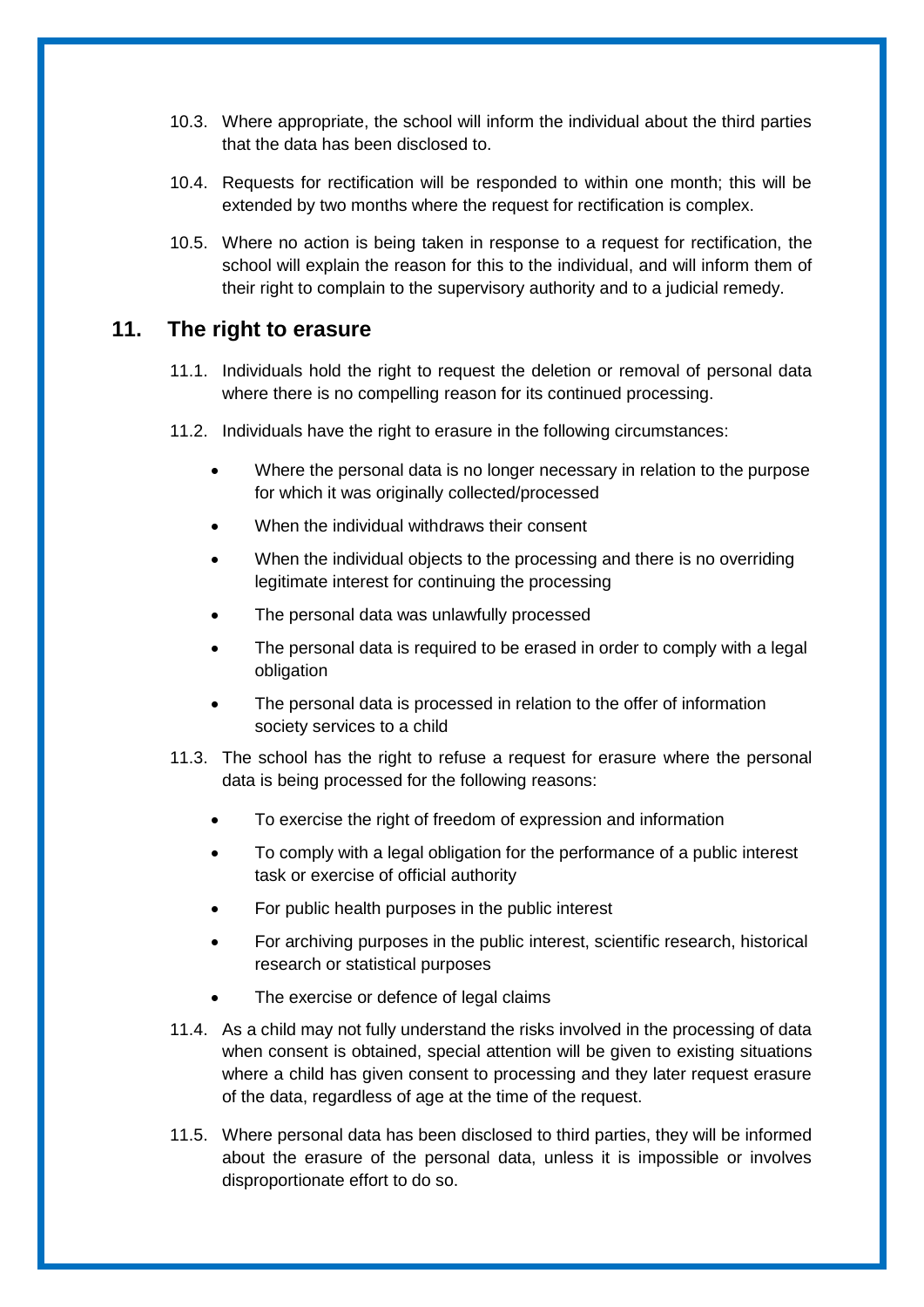- 10.3. Where appropriate, the school will inform the individual about the third parties that the data has been disclosed to.
- 10.4. Requests for rectification will be responded to within one month; this will be extended by two months where the request for rectification is complex.
- 10.5. Where no action is being taken in response to a request for rectification, the school will explain the reason for this to the individual, and will inform them of their right to complain to the supervisory authority and to a judicial remedy.

#### <span id="page-10-0"></span>**11. The right to erasure**

- 11.1. Individuals hold the right to request the deletion or removal of personal data where there is no compelling reason for its continued processing.
- 11.2. Individuals have the right to erasure in the following circumstances:
	- Where the personal data is no longer necessary in relation to the purpose for which it was originally collected/processed
	- When the individual withdraws their consent
	- When the individual objects to the processing and there is no overriding legitimate interest for continuing the processing
	- The personal data was unlawfully processed
	- The personal data is required to be erased in order to comply with a legal obligation
	- The personal data is processed in relation to the offer of information society services to a child
- 11.3. The school has the right to refuse a request for erasure where the personal data is being processed for the following reasons:
	- To exercise the right of freedom of expression and information
	- To comply with a legal obligation for the performance of a public interest task or exercise of official authority
	- For public health purposes in the public interest
	- For archiving purposes in the public interest, scientific research, historical research or statistical purposes
	- The exercise or defence of legal claims
- 11.4. As a child may not fully understand the risks involved in the processing of data when consent is obtained, special attention will be given to existing situations where a child has given consent to processing and they later request erasure of the data, regardless of age at the time of the request.
- 11.5. Where personal data has been disclosed to third parties, they will be informed about the erasure of the personal data, unless it is impossible or involves disproportionate effort to do so.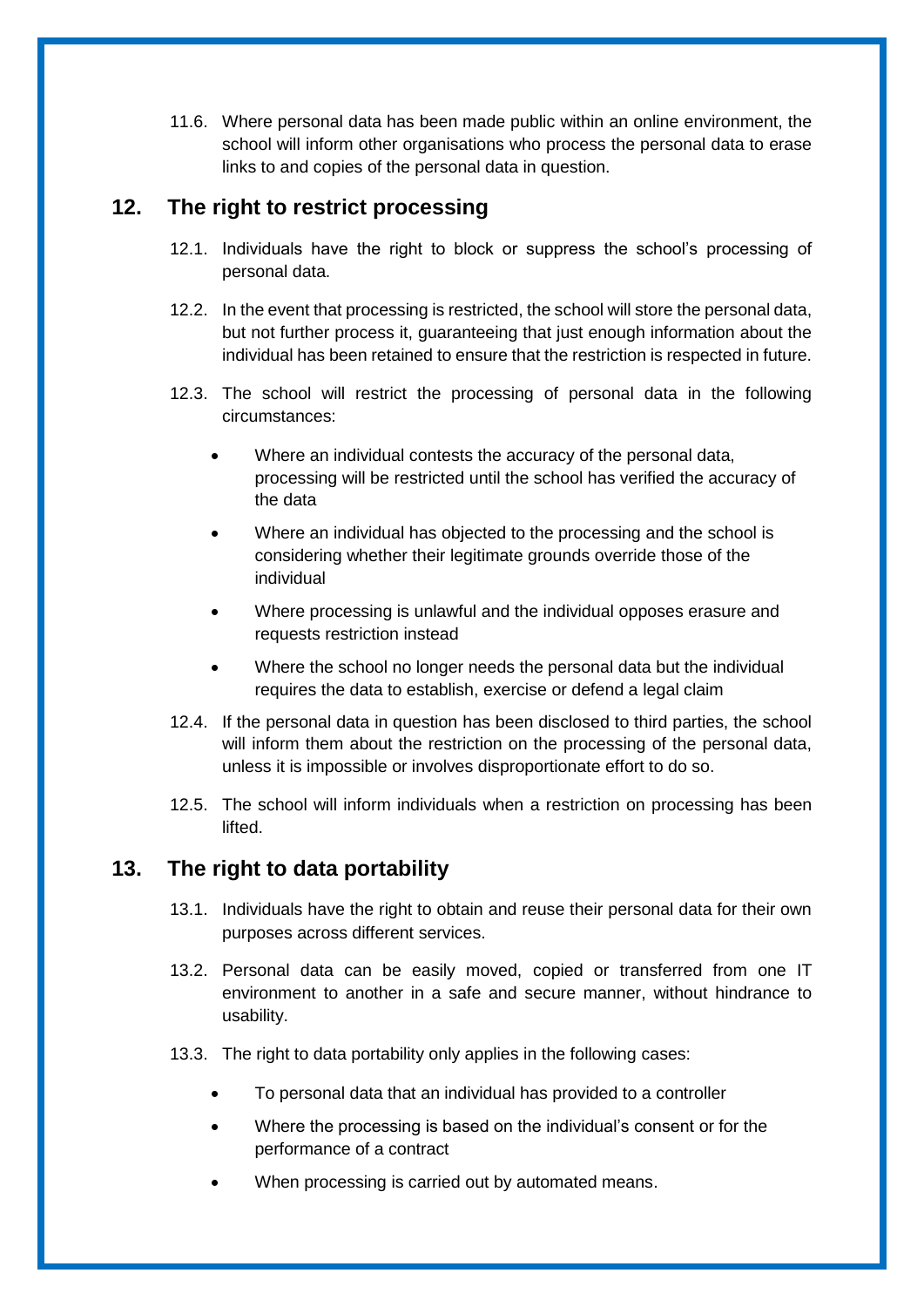11.6. Where personal data has been made public within an online environment, the school will inform other organisations who process the personal data to erase links to and copies of the personal data in question.

## <span id="page-11-0"></span>**12. The right to restrict processing**

- 12.1. Individuals have the right to block or suppress the school's processing of personal data.
- 12.2. In the event that processing is restricted, the school will store the personal data, but not further process it, guaranteeing that just enough information about the individual has been retained to ensure that the restriction is respected in future.
- 12.3. The school will restrict the processing of personal data in the following circumstances:
	- Where an individual contests the accuracy of the personal data, processing will be restricted until the school has verified the accuracy of the data
	- Where an individual has objected to the processing and the school is considering whether their legitimate grounds override those of the individual
	- Where processing is unlawful and the individual opposes erasure and requests restriction instead
	- Where the school no longer needs the personal data but the individual requires the data to establish, exercise or defend a legal claim
- 12.4. If the personal data in question has been disclosed to third parties, the school will inform them about the restriction on the processing of the personal data, unless it is impossible or involves disproportionate effort to do so.
- 12.5. The school will inform individuals when a restriction on processing has been lifted.

## <span id="page-11-1"></span>**13. The right to data portability**

- 13.1. Individuals have the right to obtain and reuse their personal data for their own purposes across different services.
- 13.2. Personal data can be easily moved, copied or transferred from one IT environment to another in a safe and secure manner, without hindrance to usability.
- 13.3. The right to data portability only applies in the following cases:
	- To personal data that an individual has provided to a controller
	- Where the processing is based on the individual's consent or for the performance of a contract
	- When processing is carried out by automated means.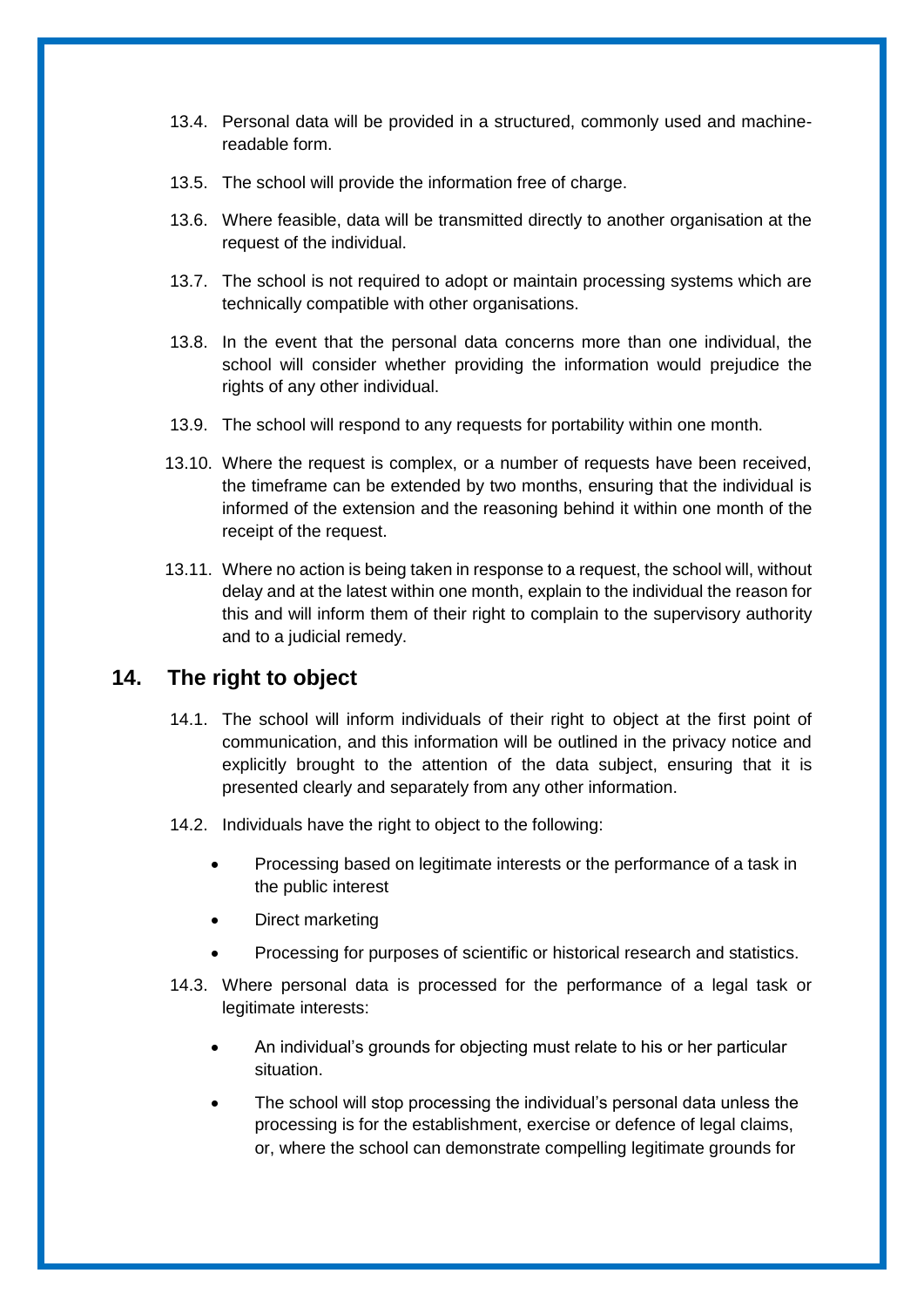- 13.4. Personal data will be provided in a structured, commonly used and machinereadable form.
- 13.5. The school will provide the information free of charge.
- 13.6. Where feasible, data will be transmitted directly to another organisation at the request of the individual.
- 13.7. The school is not required to adopt or maintain processing systems which are technically compatible with other organisations.
- 13.8. In the event that the personal data concerns more than one individual, the school will consider whether providing the information would prejudice the rights of any other individual.
- 13.9. The school will respond to any requests for portability within one month.
- 13.10. Where the request is complex, or a number of requests have been received, the timeframe can be extended by two months, ensuring that the individual is informed of the extension and the reasoning behind it within one month of the receipt of the request.
- 13.11. Where no action is being taken in response to a request, the school will, without delay and at the latest within one month, explain to the individual the reason for this and will inform them of their right to complain to the supervisory authority and to a judicial remedy.

#### <span id="page-12-0"></span>**14. The right to object**

- 14.1. The school will inform individuals of their right to object at the first point of communication, and this information will be outlined in the privacy notice and explicitly brought to the attention of the data subject, ensuring that it is presented clearly and separately from any other information.
- 14.2. Individuals have the right to object to the following:
	- Processing based on legitimate interests or the performance of a task in the public interest
	- Direct marketing
	- Processing for purposes of scientific or historical research and statistics.
- 14.3. Where personal data is processed for the performance of a legal task or legitimate interests:
	- An individual's grounds for objecting must relate to his or her particular situation.
	- The school will stop processing the individual's personal data unless the processing is for the establishment, exercise or defence of legal claims, or, where the school can demonstrate compelling legitimate grounds for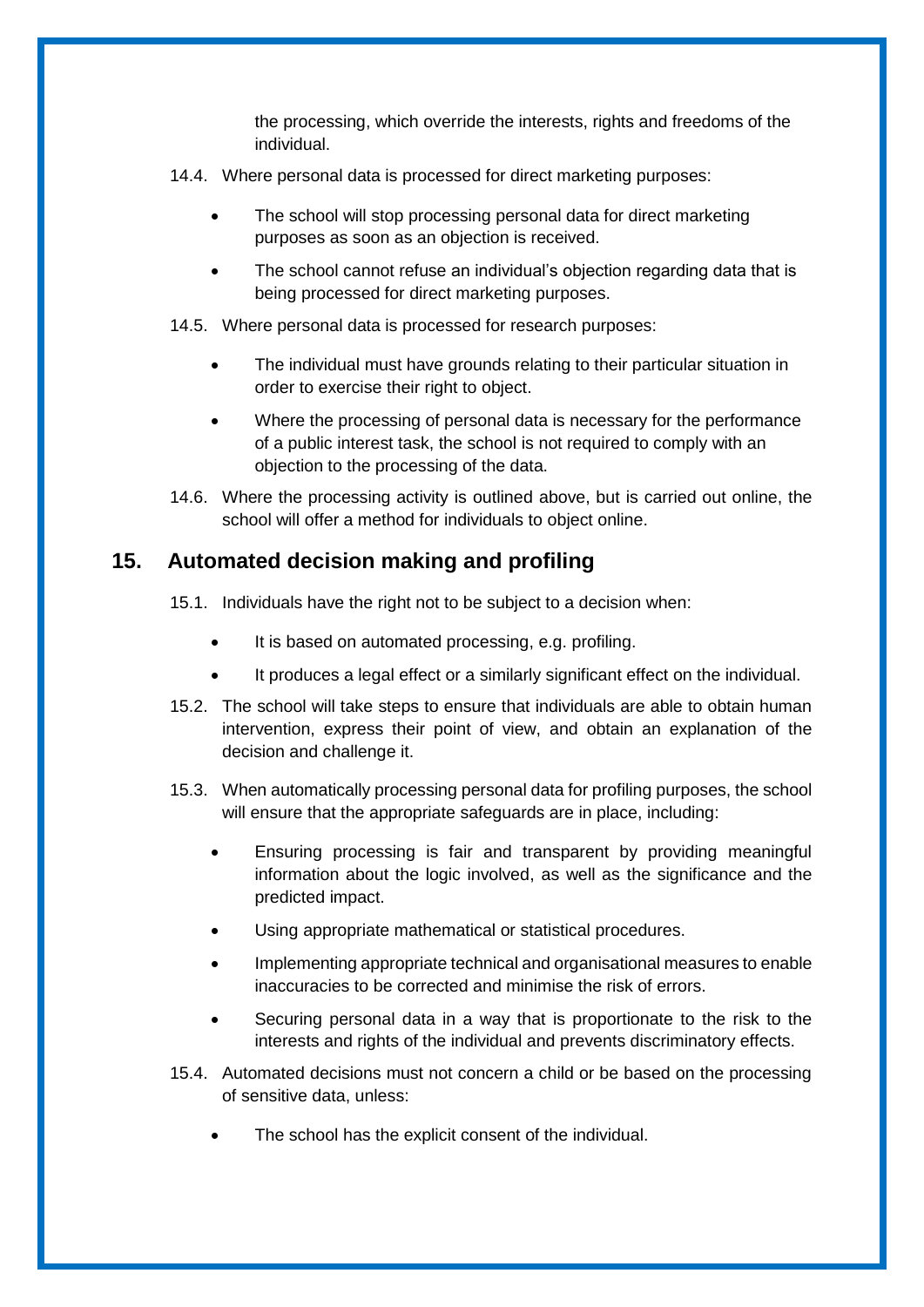the processing, which override the interests, rights and freedoms of the individual.

- 14.4. Where personal data is processed for direct marketing purposes:
	- The school will stop processing personal data for direct marketing purposes as soon as an objection is received.
	- The school cannot refuse an individual's objection regarding data that is being processed for direct marketing purposes.

14.5. Where personal data is processed for research purposes:

- The individual must have grounds relating to their particular situation in order to exercise their right to object.
- Where the processing of personal data is necessary for the performance of a public interest task, the school is not required to comply with an objection to the processing of the data.
- 14.6. Where the processing activity is outlined above, but is carried out online, the school will offer a method for individuals to object online.

#### <span id="page-13-0"></span>**15. Automated decision making and profiling**

- 15.1. Individuals have the right not to be subject to a decision when:
	- It is based on automated processing, e.g. profiling.
	- It produces a legal effect or a similarly significant effect on the individual.
- 15.2. The school will take steps to ensure that individuals are able to obtain human intervention, express their point of view, and obtain an explanation of the decision and challenge it.
- 15.3. When automatically processing personal data for profiling purposes, the school will ensure that the appropriate safeguards are in place, including:
	- Ensuring processing is fair and transparent by providing meaningful information about the logic involved, as well as the significance and the predicted impact.
	- Using appropriate mathematical or statistical procedures.
	- Implementing appropriate technical and organisational measures to enable inaccuracies to be corrected and minimise the risk of errors.
	- Securing personal data in a way that is proportionate to the risk to the interests and rights of the individual and prevents discriminatory effects.
- 15.4. Automated decisions must not concern a child or be based on the processing of sensitive data, unless:
	- The school has the explicit consent of the individual.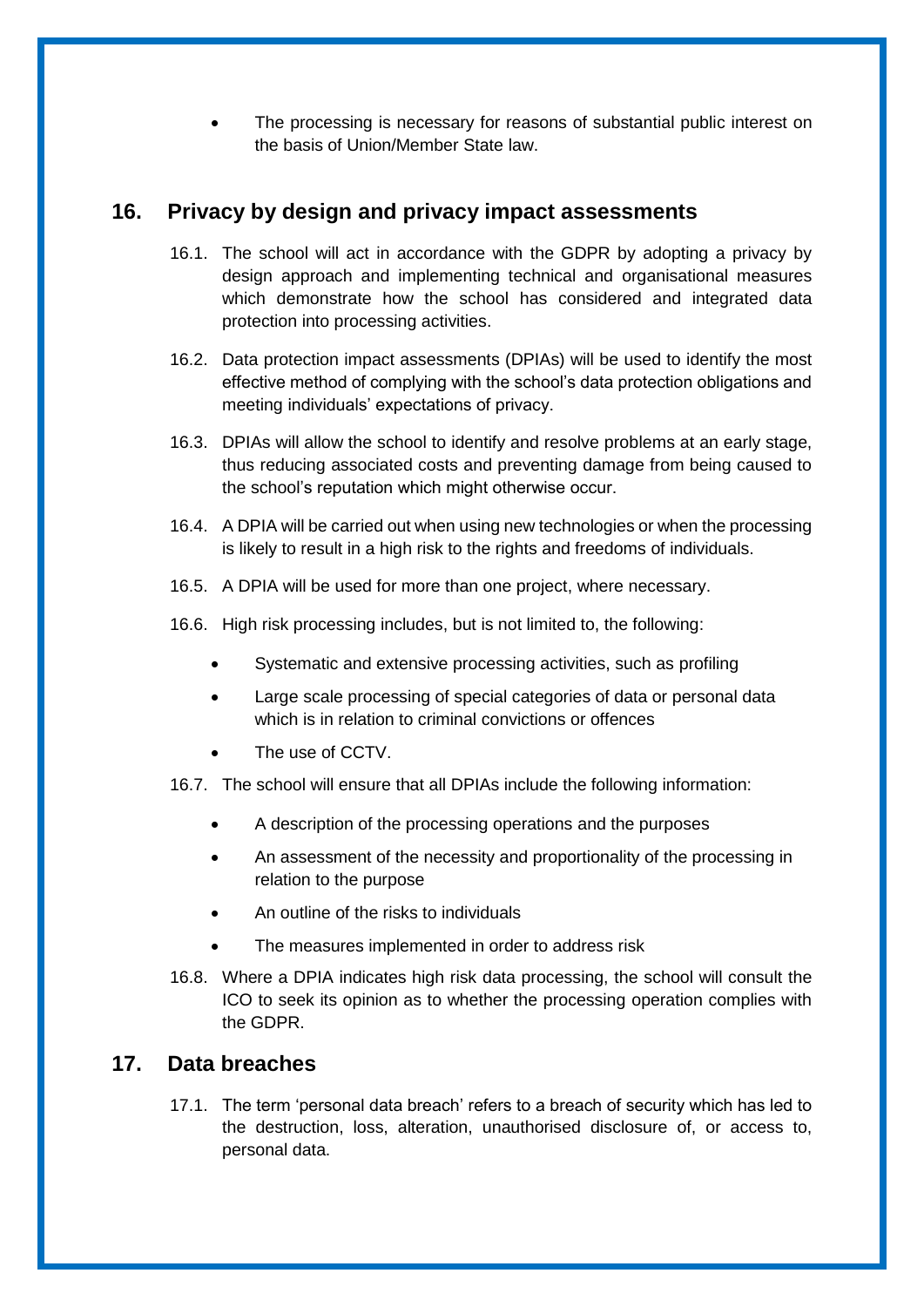The processing is necessary for reasons of substantial public interest on the basis of Union/Member State law.

# <span id="page-14-0"></span>**16. Privacy by design and privacy impact assessments**

- 16.1. The school will act in accordance with the GDPR by adopting a privacy by design approach and implementing technical and organisational measures which demonstrate how the school has considered and integrated data protection into processing activities.
- 16.2. Data protection impact assessments (DPIAs) will be used to identify the most effective method of complying with the school's data protection obligations and meeting individuals' expectations of privacy.
- 16.3. DPIAs will allow the school to identify and resolve problems at an early stage, thus reducing associated costs and preventing damage from being caused to the school's reputation which might otherwise occur.
- 16.4. A DPIA will be carried out when using new technologies or when the processing is likely to result in a high risk to the rights and freedoms of individuals.
- 16.5. A DPIA will be used for more than one project, where necessary.
- 16.6. High risk processing includes, but is not limited to, the following:
	- Systematic and extensive processing activities, such as profiling
	- Large scale processing of special categories of data or personal data which is in relation to criminal convictions or offences
	- The use of CCTV.
- 16.7. The school will ensure that all DPIAs include the following information:
	- A description of the processing operations and the purposes
	- An assessment of the necessity and proportionality of the processing in relation to the purpose
	- An outline of the risks to individuals
	- The measures implemented in order to address risk
- 16.8. Where a DPIA indicates high risk data processing, the school will consult the ICO to seek its opinion as to whether the processing operation complies with the GDPR.

### <span id="page-14-1"></span>**17. Data breaches**

17.1. The term 'personal data breach' refers to a breach of security which has led to the destruction, loss, alteration, unauthorised disclosure of, or access to, personal data.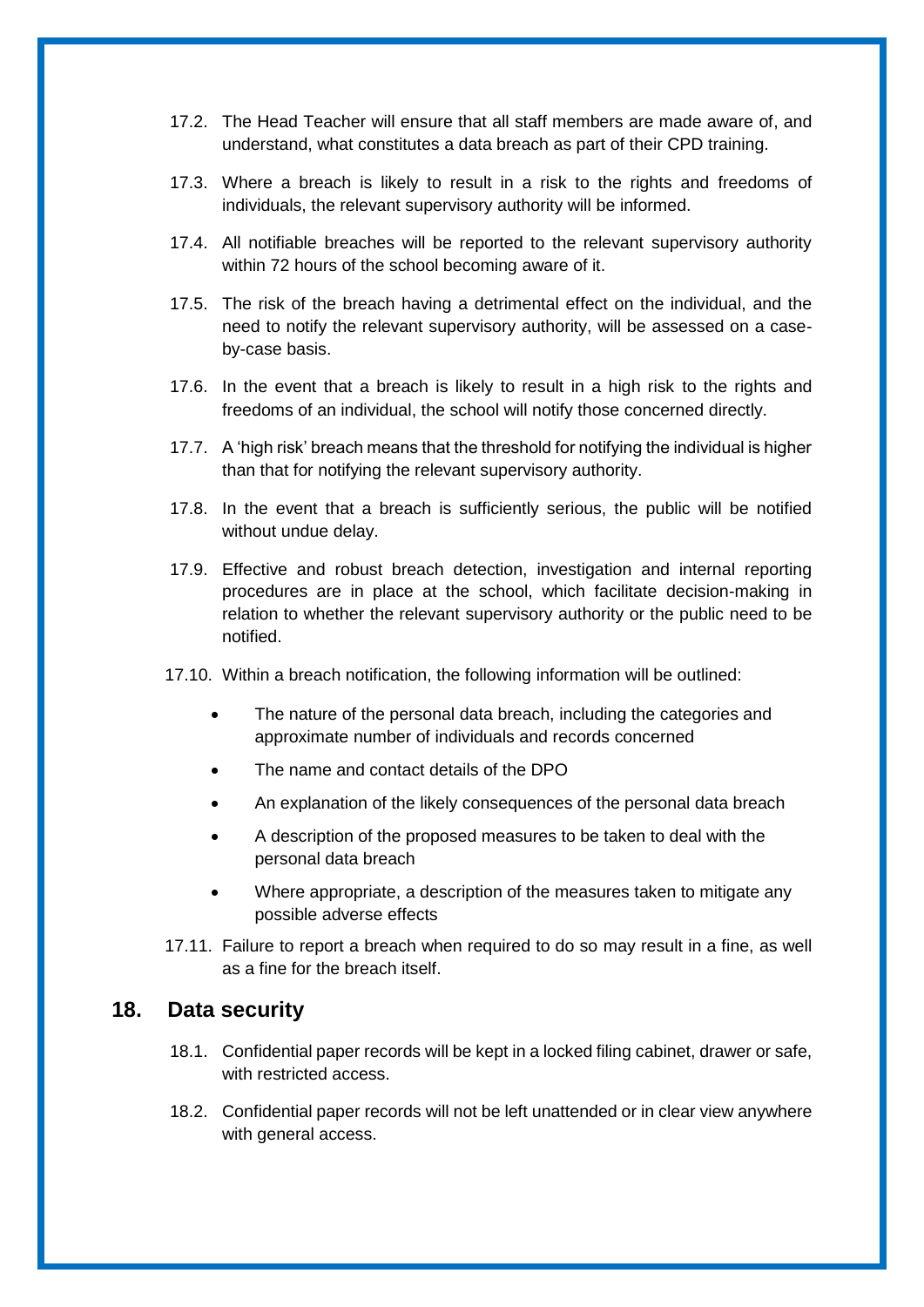- 17.2. The Head Teacher will ensure that all staff members are made aware of, and understand, what constitutes a data breach as part of their CPD training.
- 17.3. Where a breach is likely to result in a risk to the rights and freedoms of individuals, the relevant supervisory authority will be informed.
- 17.4. All notifiable breaches will be reported to the relevant supervisory authority within 72 hours of the school becoming aware of it.
- 17.5. The risk of the breach having a detrimental effect on the individual, and the need to notify the relevant supervisory authority, will be assessed on a caseby-case basis.
- 17.6. In the event that a breach is likely to result in a high risk to the rights and freedoms of an individual, the school will notify those concerned directly.
- 17.7. A 'high risk' breach means that the threshold for notifying the individual is higher than that for notifying the relevant supervisory authority.
- 17.8. In the event that a breach is sufficiently serious, the public will be notified without undue delay.
- 17.9. Effective and robust breach detection, investigation and internal reporting procedures are in place at the school, which facilitate decision-making in relation to whether the relevant supervisory authority or the public need to be notified.
- 17.10. Within a breach notification, the following information will be outlined:
	- The nature of the personal data breach, including the categories and approximate number of individuals and records concerned
	- The name and contact details of the DPO
	- An explanation of the likely consequences of the personal data breach
	- A description of the proposed measures to be taken to deal with the personal data breach
	- Where appropriate, a description of the measures taken to mitigate any possible adverse effects
- 17.11. Failure to report a breach when required to do so may result in a fine, as well as a fine for the breach itself.

#### <span id="page-15-0"></span>**18. Data security**

- 18.1. Confidential paper records will be kept in a locked filing cabinet, drawer or safe, with restricted access.
- 18.2. Confidential paper records will not be left unattended or in clear view anywhere with general access.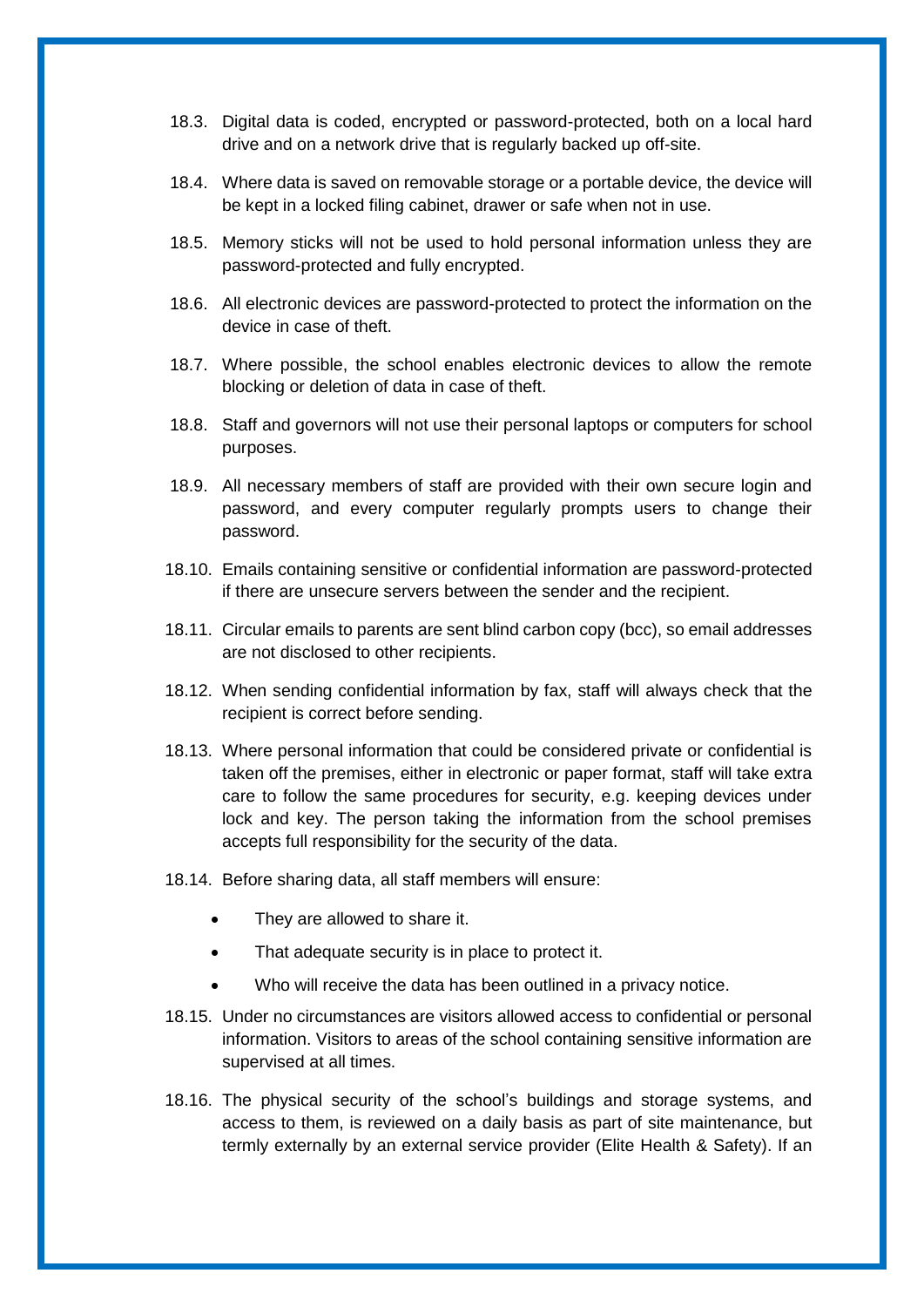- 18.3. Digital data is coded, encrypted or password-protected, both on a local hard drive and on a network drive that is regularly backed up off-site.
- 18.4. Where data is saved on removable storage or a portable device, the device will be kept in a locked filing cabinet, drawer or safe when not in use.
- 18.5. Memory sticks will not be used to hold personal information unless they are password-protected and fully encrypted.
- 18.6. All electronic devices are password-protected to protect the information on the device in case of theft.
- 18.7. Where possible, the school enables electronic devices to allow the remote blocking or deletion of data in case of theft.
- 18.8. Staff and governors will not use their personal laptops or computers for school purposes.
- 18.9. All necessary members of staff are provided with their own secure login and password, and every computer regularly prompts users to change their password.
- 18.10. Emails containing sensitive or confidential information are password-protected if there are unsecure servers between the sender and the recipient.
- 18.11. Circular emails to parents are sent blind carbon copy (bcc), so email addresses are not disclosed to other recipients.
- 18.12. When sending confidential information by fax, staff will always check that the recipient is correct before sending.
- 18.13. Where personal information that could be considered private or confidential is taken off the premises, either in electronic or paper format, staff will take extra care to follow the same procedures for security, e.g. keeping devices under lock and key. The person taking the information from the school premises accepts full responsibility for the security of the data.
- 18.14. Before sharing data, all staff members will ensure:
	- They are allowed to share it.
	- That adequate security is in place to protect it.
	- Who will receive the data has been outlined in a privacy notice.
- 18.15. Under no circumstances are visitors allowed access to confidential or personal information. Visitors to areas of the school containing sensitive information are supervised at all times.
- 18.16. The physical security of the school's buildings and storage systems, and access to them, is reviewed on a daily basis as part of site maintenance, but termly externally by an external service provider (Elite Health & Safety). If an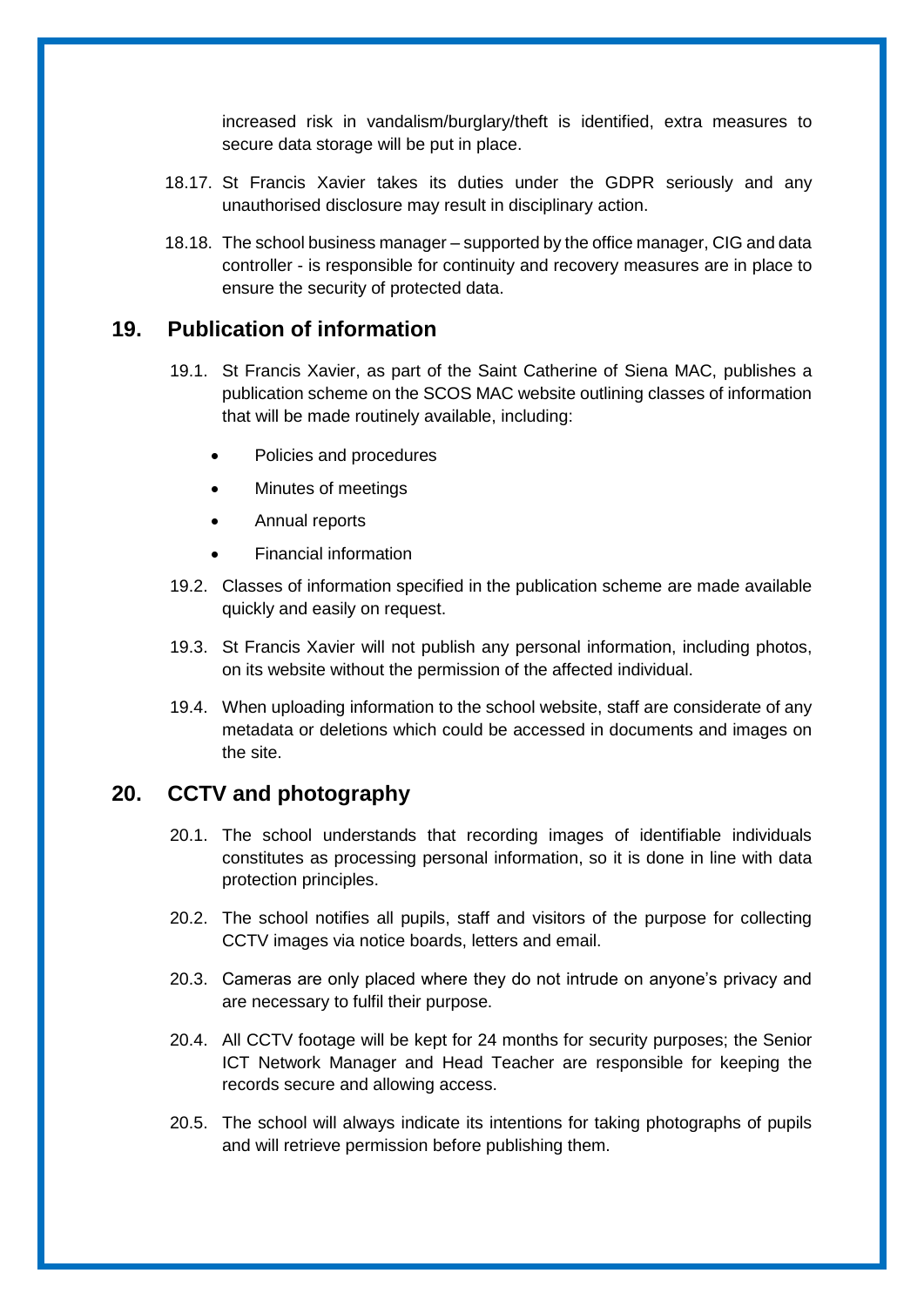increased risk in vandalism/burglary/theft is identified, extra measures to secure data storage will be put in place.

- 18.17. St Francis Xavier takes its duties under the GDPR seriously and any unauthorised disclosure may result in disciplinary action.
- 18.18. The school business manager supported by the office manager, CIG and data controller - is responsible for continuity and recovery measures are in place to ensure the security of protected data.

#### <span id="page-17-0"></span>**19. Publication of information**

- 19.1. St Francis Xavier, as part of the Saint Catherine of Siena MAC, publishes a publication scheme on the SCOS MAC website outlining classes of information that will be made routinely available, including:
	- Policies and procedures
	- Minutes of meetings
	- Annual reports
	- Financial information
- 19.2. Classes of information specified in the publication scheme are made available quickly and easily on request.
- 19.3. St Francis Xavier will not publish any personal information, including photos, on its website without the permission of the affected individual.
- 19.4. When uploading information to the school website, staff are considerate of any metadata or deletions which could be accessed in documents and images on the site.

# <span id="page-17-1"></span>**20. CCTV and photography**

- 20.1. The school understands that recording images of identifiable individuals constitutes as processing personal information, so it is done in line with data protection principles.
- 20.2. The school notifies all pupils, staff and visitors of the purpose for collecting CCTV images via notice boards, letters and email.
- 20.3. Cameras are only placed where they do not intrude on anyone's privacy and are necessary to fulfil their purpose.
- 20.4. All CCTV footage will be kept for 24 months for security purposes; the Senior ICT Network Manager and Head Teacher are responsible for keeping the records secure and allowing access.
- 20.5. The school will always indicate its intentions for taking photographs of pupils and will retrieve permission before publishing them.